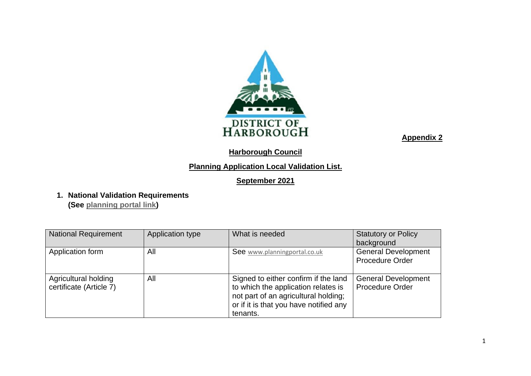

#### **Harborough Council**

#### **Planning Application Local Validation List.**

#### **September 2021**

**1. National Validation Requirements**

**(See [planning portal link\)](https://www.planningportal.co.uk/info/200232/planning_applications/59/how_to_apply/6#:~:text=If%20you%20are%20posting%20the%20application%2C%20at%20least,documents%20for%20your%20planning%20application%20to%20be%20valid%3A)**

| <b>National Requirement</b>                     | Application type | What is needed                                                                                                                                                            | <b>Statutory or Policy</b>                           |
|-------------------------------------------------|------------------|---------------------------------------------------------------------------------------------------------------------------------------------------------------------------|------------------------------------------------------|
|                                                 |                  |                                                                                                                                                                           | background                                           |
| Application form                                | All              | See www.planningportal.co.uk                                                                                                                                              | <b>General Development</b>                           |
|                                                 |                  |                                                                                                                                                                           | <b>Procedure Order</b>                               |
| Agricultural holding<br>certificate (Article 7) | All              | Signed to either confirm if the land<br>to which the application relates is<br>not part of an agricultural holding;<br>or if it is that you have notified any<br>tenants. | <b>General Development</b><br><b>Procedure Order</b> |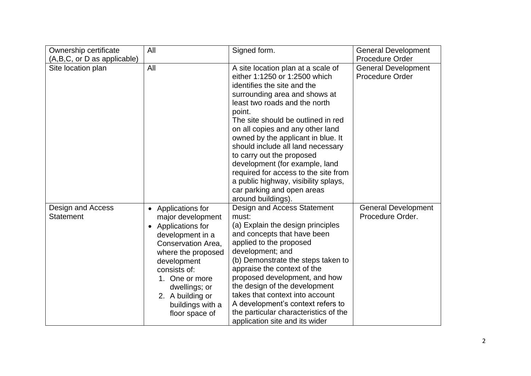| Ownership certificate                 | All                                                                                                                                                                                                                                                                                     | Signed form.                                                                                                                                                                                                                                                                                                                                                                                                                                                                                                                           | <b>General Development</b>                           |
|---------------------------------------|-----------------------------------------------------------------------------------------------------------------------------------------------------------------------------------------------------------------------------------------------------------------------------------------|----------------------------------------------------------------------------------------------------------------------------------------------------------------------------------------------------------------------------------------------------------------------------------------------------------------------------------------------------------------------------------------------------------------------------------------------------------------------------------------------------------------------------------------|------------------------------------------------------|
| (A,B,C, or D as applicable)           |                                                                                                                                                                                                                                                                                         |                                                                                                                                                                                                                                                                                                                                                                                                                                                                                                                                        | <b>Procedure Order</b>                               |
| Site location plan                    | All                                                                                                                                                                                                                                                                                     | A site location plan at a scale of<br>either 1:1250 or 1:2500 which<br>identifies the site and the<br>surrounding area and shows at<br>least two roads and the north<br>point.<br>The site should be outlined in red<br>on all copies and any other land<br>owned by the applicant in blue. It<br>should include all land necessary<br>to carry out the proposed<br>development (for example, land<br>required for access to the site from<br>a public highway, visibility splays,<br>car parking and open areas<br>around buildings). | <b>General Development</b><br><b>Procedure Order</b> |
| Design and Access<br><b>Statement</b> | Applications for<br>$\bullet$<br>major development<br>Applications for<br>$\bullet$<br>development in a<br>Conservation Area.<br>where the proposed<br>development<br>consists of:<br>One or more<br>$1_{-}$<br>dwellings; or<br>2. A building or<br>buildings with a<br>floor space of | Design and Access Statement<br>must:<br>(a) Explain the design principles<br>and concepts that have been<br>applied to the proposed<br>development; and<br>(b) Demonstrate the steps taken to<br>appraise the context of the<br>proposed development, and how<br>the design of the development<br>takes that context into account<br>A development's context refers to<br>the particular characteristics of the<br>application site and its wider                                                                                      | <b>General Development</b><br>Procedure Order.       |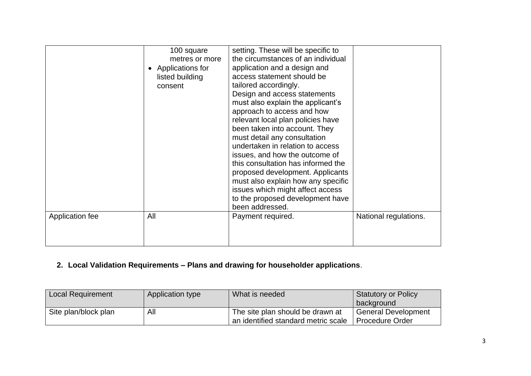| Application fee | 100 square<br>metres or more<br>Applications for<br>listed building<br>consent<br>All | setting. These will be specific to<br>the circumstances of an individual<br>application and a design and<br>access statement should be<br>tailored accordingly.<br>Design and access statements<br>must also explain the applicant's<br>approach to access and how<br>relevant local plan policies have<br>been taken into account. They<br>must detail any consultation<br>undertaken in relation to access<br>issues, and how the outcome of<br>this consultation has informed the<br>proposed development. Applicants<br>must also explain how any specific<br>issues which might affect access<br>to the proposed development have<br>been addressed.<br>Payment required. | National regulations. |
|-----------------|---------------------------------------------------------------------------------------|--------------------------------------------------------------------------------------------------------------------------------------------------------------------------------------------------------------------------------------------------------------------------------------------------------------------------------------------------------------------------------------------------------------------------------------------------------------------------------------------------------------------------------------------------------------------------------------------------------------------------------------------------------------------------------|-----------------------|
|                 |                                                                                       |                                                                                                                                                                                                                                                                                                                                                                                                                                                                                                                                                                                                                                                                                |                       |

# **2. Local Validation Requirements – Plans and drawing for householder applications**.

| <b>Local Requirement</b> | Application type | What is needed                      | <b>Statutory or Policy</b> |
|--------------------------|------------------|-------------------------------------|----------------------------|
|                          |                  |                                     | background                 |
| Site plan/block plan     | All              | The site plan should be drawn at    | <b>General Development</b> |
|                          |                  | an identified standard metric scale | <b>Procedure Order</b>     |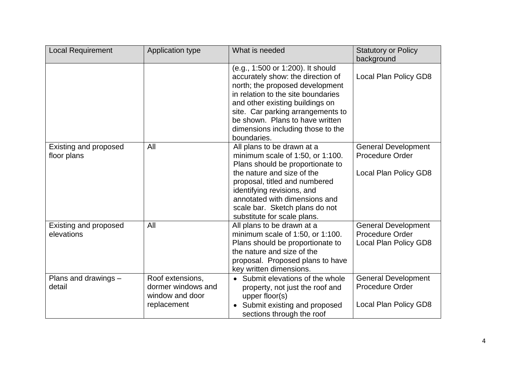| <b>Local Requirement</b>             | Application type                                                         | What is needed                                                                                                                                                                                                                                                                                                 | <b>Statutory or Policy</b><br>background                                      |
|--------------------------------------|--------------------------------------------------------------------------|----------------------------------------------------------------------------------------------------------------------------------------------------------------------------------------------------------------------------------------------------------------------------------------------------------------|-------------------------------------------------------------------------------|
|                                      |                                                                          | (e.g., 1:500 or 1:200). It should<br>accurately show: the direction of<br>north; the proposed development<br>in relation to the site boundaries<br>and other existing buildings on<br>site. Car parking arrangements to<br>be shown. Plans to have written<br>dimensions including those to the<br>boundaries. | Local Plan Policy GD8                                                         |
| Existing and proposed<br>floor plans | All                                                                      | All plans to be drawn at a<br>minimum scale of $1:50$ , or $1:100$ .<br>Plans should be proportionate to<br>the nature and size of the<br>proposal, titled and numbered<br>identifying revisions, and<br>annotated with dimensions and<br>scale bar. Sketch plans do not<br>substitute for scale plans.        | <b>General Development</b><br><b>Procedure Order</b><br>Local Plan Policy GD8 |
| Existing and proposed<br>elevations  | All                                                                      | All plans to be drawn at a<br>minimum scale of 1:50, or 1:100.<br>Plans should be proportionate to<br>the nature and size of the<br>proposal. Proposed plans to have<br>key written dimensions.                                                                                                                | <b>General Development</b><br><b>Procedure Order</b><br>Local Plan Policy GD8 |
| Plans and drawings -<br>detail       | Roof extensions,<br>dormer windows and<br>window and door<br>replacement | Submit elevations of the whole<br>property, not just the roof and<br>upper floor(s)<br>Submit existing and proposed<br>sections through the roof                                                                                                                                                               | <b>General Development</b><br><b>Procedure Order</b><br>Local Plan Policy GD8 |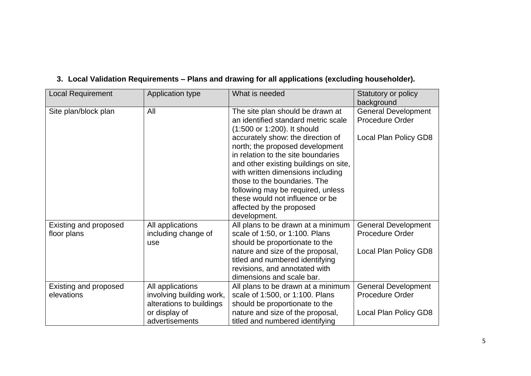| <b>Local Requirement</b>     | Application type         | What is needed                                                                                             | Statutory or policy<br>background                    |
|------------------------------|--------------------------|------------------------------------------------------------------------------------------------------------|------------------------------------------------------|
| Site plan/block plan         | All                      | The site plan should be drawn at<br>an identified standard metric scale<br>(1:500 or 1:200). It should     | <b>General Development</b><br><b>Procedure Order</b> |
|                              |                          | accurately show: the direction of<br>north; the proposed development<br>in relation to the site boundaries | Local Plan Policy GD8                                |
|                              |                          | and other existing buildings on site,<br>with written dimensions including                                 |                                                      |
|                              |                          | those to the boundaries. The<br>following may be required, unless                                          |                                                      |
|                              |                          | these would not influence or be                                                                            |                                                      |
|                              |                          | affected by the proposed<br>development.                                                                   |                                                      |
| Existing and proposed        | All applications         | All plans to be drawn at a minimum                                                                         | <b>General Development</b>                           |
| floor plans                  | including change of      | scale of 1:50, or 1:100. Plans                                                                             | <b>Procedure Order</b>                               |
|                              | use                      | should be proportionate to the                                                                             |                                                      |
|                              |                          | nature and size of the proposal,<br>titled and numbered identifying                                        | Local Plan Policy GD8                                |
|                              |                          | revisions, and annotated with                                                                              |                                                      |
|                              |                          | dimensions and scale bar.                                                                                  |                                                      |
| <b>Existing and proposed</b> | All applications         | All plans to be drawn at a minimum                                                                         | <b>General Development</b>                           |
| elevations                   | involving building work, | scale of 1:500, or 1:100. Plans                                                                            | Procedure Order                                      |
|                              | alterations to buildings | should be proportionate to the                                                                             |                                                      |
|                              | or display of            | nature and size of the proposal,                                                                           | Local Plan Policy GD8                                |
|                              | advertisements           | titled and numbered identifying                                                                            |                                                      |

### **3. Local Validation Requirements – Plans and drawing for all applications (excluding householder).**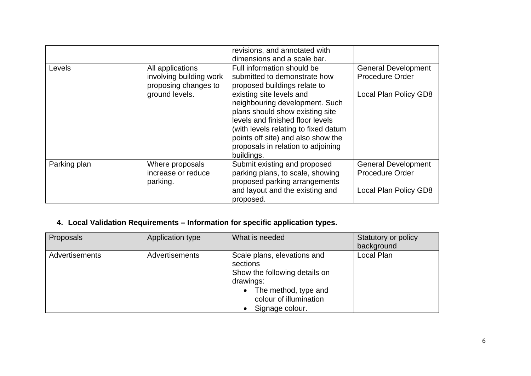|              |                                                                                       | revisions, and annotated with<br>dimensions and a scale bar.                                                                                                                                                                                                                                                                                                      |                                                                               |
|--------------|---------------------------------------------------------------------------------------|-------------------------------------------------------------------------------------------------------------------------------------------------------------------------------------------------------------------------------------------------------------------------------------------------------------------------------------------------------------------|-------------------------------------------------------------------------------|
| Levels       | All applications<br>involving building work<br>proposing changes to<br>ground levels. | Full information should be<br>submitted to demonstrate how<br>proposed buildings relate to<br>existing site levels and<br>neighbouring development. Such<br>plans should show existing site<br>levels and finished floor levels<br>(with levels relating to fixed datum<br>points off site) and also show the<br>proposals in relation to adjoining<br>buildings. | <b>General Development</b><br><b>Procedure Order</b><br>Local Plan Policy GD8 |
| Parking plan | Where proposals<br>increase or reduce<br>parking.                                     | Submit existing and proposed<br>parking plans, to scale, showing<br>proposed parking arrangements<br>and layout and the existing and<br>proposed.                                                                                                                                                                                                                 | <b>General Development</b><br><b>Procedure Order</b><br>Local Plan Policy GD8 |

### **4. Local Validation Requirements – Information for specific application types.**

| Proposals             | Application type | What is needed                                                                                                                                             | Statutory or policy<br>background |
|-----------------------|------------------|------------------------------------------------------------------------------------------------------------------------------------------------------------|-----------------------------------|
| <b>Advertisements</b> | Advertisements   | Scale plans, elevations and<br>sections<br>Show the following details on<br>drawings:<br>The method, type and<br>colour of illumination<br>Signage colour. | Local Plan                        |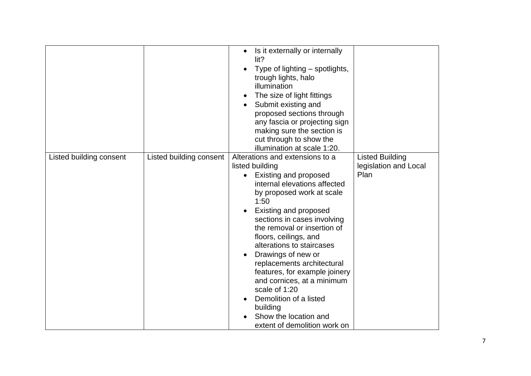|                         |                         | Is it externally or internally<br>$\bullet$<br>lit?<br>Type of lighting – spotlights,<br>trough lights, halo<br>illumination<br>The size of light fittings<br>Submit existing and<br>proposed sections through<br>any fascia or projecting sign<br>making sure the section is<br>cut through to show the<br>illumination at scale 1:20.                                                                                                                                                                                                 |                                                         |
|-------------------------|-------------------------|-----------------------------------------------------------------------------------------------------------------------------------------------------------------------------------------------------------------------------------------------------------------------------------------------------------------------------------------------------------------------------------------------------------------------------------------------------------------------------------------------------------------------------------------|---------------------------------------------------------|
| Listed building consent | Listed building consent | Alterations and extensions to a<br>listed building<br>Existing and proposed<br>internal elevations affected<br>by proposed work at scale<br>1:50<br><b>Existing and proposed</b><br>sections in cases involving<br>the removal or insertion of<br>floors, ceilings, and<br>alterations to staircases<br>Drawings of new or<br>replacements architectural<br>features, for example joinery<br>and cornices, at a minimum<br>scale of 1:20<br>Demolition of a listed<br>building<br>Show the location and<br>extent of demolition work on | <b>Listed Building</b><br>legislation and Local<br>Plan |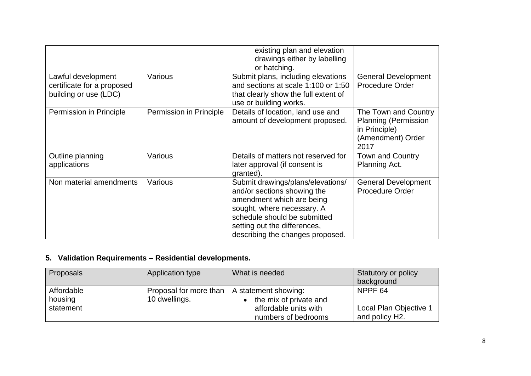|                                                                           |                         | existing plan and elevation<br>drawings either by labelling<br>or hatching.                                                                                                                                                     |                                                                                                   |
|---------------------------------------------------------------------------|-------------------------|---------------------------------------------------------------------------------------------------------------------------------------------------------------------------------------------------------------------------------|---------------------------------------------------------------------------------------------------|
| Lawful development<br>certificate for a proposed<br>building or use (LDC) | Various                 | Submit plans, including elevations<br>and sections at scale 1:100 or 1:50<br>that clearly show the full extent of<br>use or building works.                                                                                     | <b>General Development</b><br><b>Procedure Order</b>                                              |
| Permission in Principle                                                   | Permission in Principle | Details of location, land use and<br>amount of development proposed.                                                                                                                                                            | The Town and Country<br><b>Planning (Permission</b><br>in Principle)<br>(Amendment) Order<br>2017 |
| Outline planning<br>applications                                          | Various                 | Details of matters not reserved for<br>later approval (if consent is<br>granted).                                                                                                                                               | <b>Town and Country</b><br>Planning Act.                                                          |
| Non material amendments                                                   | Various                 | Submit drawings/plans/elevations/<br>and/or sections showing the<br>amendment which are being<br>sought, where necessary. A<br>schedule should be submitted<br>setting out the differences,<br>describing the changes proposed. | <b>General Development</b><br><b>Procedure Order</b>                                              |

# **5. Validation Requirements – Residential developments.**

| Proposals  | Application type       | What is needed         | Statutory or policy         |
|------------|------------------------|------------------------|-----------------------------|
|            |                        |                        | background                  |
| Affordable | Proposal for more than | A statement showing:   | NPPF <sub>64</sub>          |
| housing    | 10 dwellings.          | the mix of private and |                             |
| statement  |                        | affordable units with  | Local Plan Objective 1      |
|            |                        | numbers of bedrooms    | and policy H <sub>2</sub> . |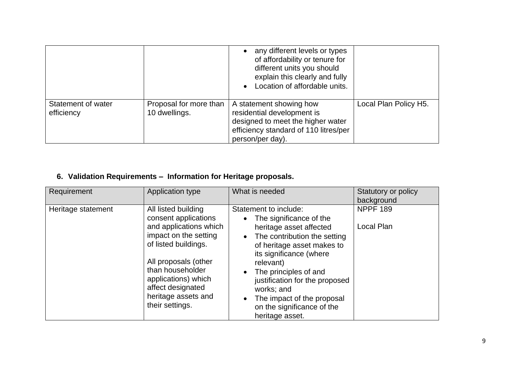|                                  |                                         | any different levels or types<br>of affordability or tenure for<br>different units you should<br>explain this clearly and fully<br>Location of affordable units. |                       |
|----------------------------------|-----------------------------------------|------------------------------------------------------------------------------------------------------------------------------------------------------------------|-----------------------|
| Statement of water<br>efficiency | Proposal for more than<br>10 dwellings. | A statement showing how<br>residential development is<br>designed to meet the higher water<br>efficiency standard of 110 litres/per<br>person/per day).          | Local Plan Policy H5. |

# **6. Validation Requirements – Information for Heritage proposals.**

| Requirement        | Application type                                                                                                                                                                                                                                         | What is needed                                                                                                                                                                                                                                                                                                                            | Statutory or policy<br>background |
|--------------------|----------------------------------------------------------------------------------------------------------------------------------------------------------------------------------------------------------------------------------------------------------|-------------------------------------------------------------------------------------------------------------------------------------------------------------------------------------------------------------------------------------------------------------------------------------------------------------------------------------------|-----------------------------------|
| Heritage statement | All listed building<br>consent applications<br>and applications which<br>impact on the setting<br>of listed buildings.<br>All proposals (other<br>than householder<br>applications) which<br>affect designated<br>heritage assets and<br>their settings. | Statement to include:<br>The significance of the<br>heritage asset affected<br>The contribution the setting<br>of heritage asset makes to<br>its significance (where<br>relevant)<br>The principles of and<br>justification for the proposed<br>works; and<br>The impact of the proposal<br>on the significance of the<br>heritage asset. | <b>NPPF 189</b><br>Local Plan     |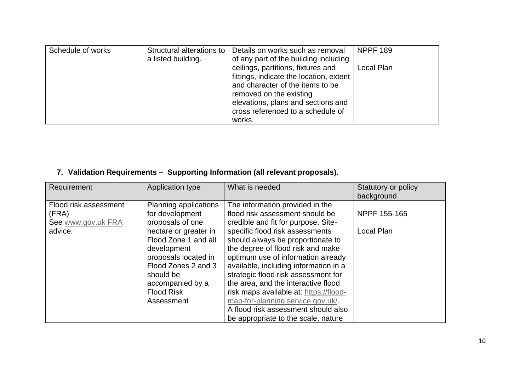| Schedule of works | a listed building. | Structural alterations to   Details on works such as removal<br>of any part of the building including                                                                                                                             | <b>NPPF 189</b> |
|-------------------|--------------------|-----------------------------------------------------------------------------------------------------------------------------------------------------------------------------------------------------------------------------------|-----------------|
|                   |                    | ceilings, partitions, fixtures and<br>fittings, indicate the location, extent<br>and character of the items to be<br>removed on the existing<br>elevations, plans and sections and<br>cross referenced to a schedule of<br>works. | Local Plan      |

### **7. Validation Requirements – Supporting Information (all relevant proposals).**

| Requirement                                                     | Application type                                                                                                                                                                                                                                | What is needed                                                                                                                                                                                                                                                                                                                                                                                                                                                                                                                                   | Statutory or policy<br>background |
|-----------------------------------------------------------------|-------------------------------------------------------------------------------------------------------------------------------------------------------------------------------------------------------------------------------------------------|--------------------------------------------------------------------------------------------------------------------------------------------------------------------------------------------------------------------------------------------------------------------------------------------------------------------------------------------------------------------------------------------------------------------------------------------------------------------------------------------------------------------------------------------------|-----------------------------------|
| Flood risk assessment<br>(FRA)<br>See www.gov.uk FRA<br>advice. | Planning applications<br>for development<br>proposals of one<br>hectare or greater in<br>Flood Zone 1 and all<br>development<br>proposals located in<br>Flood Zones 2 and 3<br>should be<br>accompanied by a<br><b>Flood Risk</b><br>Assessment | The information provided in the<br>flood risk assessment should be<br>credible and fit for purpose. Site-<br>specific flood risk assessments<br>should always be proportionate to<br>the degree of flood risk and make<br>optimum use of information already<br>available, including information in a<br>strategic flood risk assessment for<br>the area, and the interactive flood<br>risk maps available at: https://flood-<br>map-for-planning.service.gov.uk/.<br>A flood risk assessment should also<br>be appropriate to the scale, nature | NPPF 155-165<br>Local Plan        |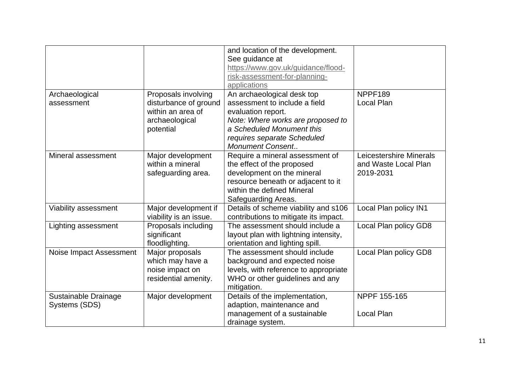|                         |                        | and location of the development.<br>See guidance at<br>https://www.gov.uk/guidance/flood-<br>risk-assessment-for-planning- |                         |
|-------------------------|------------------------|----------------------------------------------------------------------------------------------------------------------------|-------------------------|
|                         |                        | applications                                                                                                               |                         |
| Archaeological          | Proposals involving    | An archaeological desk top                                                                                                 | NPPF189                 |
| assessment              | disturbance of ground  | assessment to include a field                                                                                              | Local Plan              |
|                         | within an area of      | evaluation report.                                                                                                         |                         |
|                         | archaeological         | Note: Where works are proposed to                                                                                          |                         |
|                         | potential              | a Scheduled Monument this                                                                                                  |                         |
|                         |                        | requires separate Scheduled                                                                                                |                         |
|                         |                        | <b>Monument Consent</b>                                                                                                    |                         |
| Mineral assessment      | Major development      | Require a mineral assessment of                                                                                            | Leicestershire Minerals |
|                         | within a mineral       | the effect of the proposed                                                                                                 | and Waste Local Plan    |
|                         | safeguarding area.     | development on the mineral                                                                                                 | 2019-2031               |
|                         |                        | resource beneath or adjacent to it                                                                                         |                         |
|                         |                        | within the defined Mineral                                                                                                 |                         |
|                         |                        | Safeguarding Areas.                                                                                                        |                         |
| Viability assessment    | Major development if   | Details of scheme viability and s106                                                                                       | Local Plan policy IN1   |
|                         | viability is an issue. | contributions to mitigate its impact.                                                                                      |                         |
| Lighting assessment     | Proposals including    | The assessment should include a                                                                                            | Local Plan policy GD8   |
|                         | significant            | layout plan with lightning intensity,                                                                                      |                         |
|                         | floodlighting.         | orientation and lighting spill.                                                                                            |                         |
| Noise Impact Assessment | Major proposals        | The assessment should include                                                                                              | Local Plan policy GD8   |
|                         | which may have a       | background and expected noise                                                                                              |                         |
|                         | noise impact on        | levels, with reference to appropriate                                                                                      |                         |
|                         | residential amenity.   | WHO or other guidelines and any                                                                                            |                         |
|                         |                        | mitigation.                                                                                                                |                         |
| Sustainable Drainage    | Major development      | Details of the implementation,                                                                                             | NPPF 155-165            |
| Systems (SDS)           |                        | adaption, maintenance and                                                                                                  |                         |
|                         |                        | management of a sustainable                                                                                                | Local Plan              |
|                         |                        | drainage system.                                                                                                           |                         |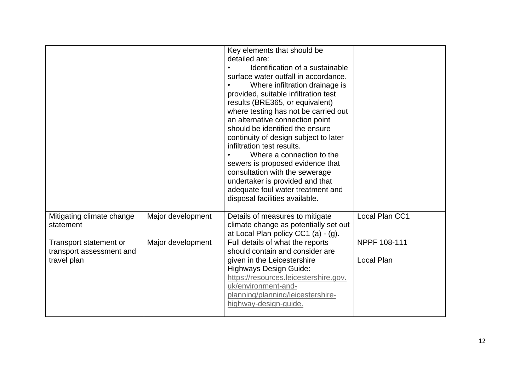|                                                                   |                   | Key elements that should be<br>detailed are:<br>Identification of a sustainable<br>surface water outfall in accordance.<br>Where infiltration drainage is<br>provided, suitable infiltration test<br>results (BRE365, or equivalent)<br>where testing has not be carried out<br>an alternative connection point<br>should be identified the ensure<br>continuity of design subject to later<br>infiltration test results.<br>Where a connection to the<br>sewers is proposed evidence that<br>consultation with the sewerage<br>undertaker is provided and that<br>adequate foul water treatment and<br>disposal facilities available. |                            |
|-------------------------------------------------------------------|-------------------|----------------------------------------------------------------------------------------------------------------------------------------------------------------------------------------------------------------------------------------------------------------------------------------------------------------------------------------------------------------------------------------------------------------------------------------------------------------------------------------------------------------------------------------------------------------------------------------------------------------------------------------|----------------------------|
| Mitigating climate change<br>statement                            | Major development | Details of measures to mitigate<br>climate change as potentially set out                                                                                                                                                                                                                                                                                                                                                                                                                                                                                                                                                               | Local Plan CC1             |
| Transport statement or<br>transport assessment and<br>travel plan | Major development | at Local Plan policy CC1 (a) - (g).<br>Full details of what the reports<br>should contain and consider are<br>given in the Leicestershire<br><b>Highways Design Guide:</b><br>https://resources.leicestershire.gov.<br>uk/environment-and-<br>planning/planning/leicestershire-<br>highway-design-guide.                                                                                                                                                                                                                                                                                                                               | NPPF 108-111<br>Local Plan |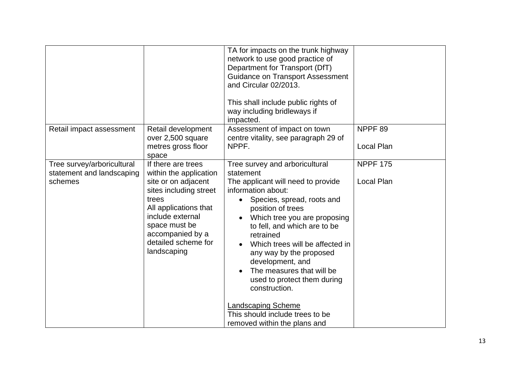|                                                                    |                                                                                                                                                                                                                                | TA for impacts on the trunk highway<br>network to use good practice of<br>Department for Transport (DfT)<br><b>Guidance on Transport Assessment</b><br>and Circular 02/2013.<br>This shall include public rights of<br>way including bridleways if<br>impacted.                                                                                                                                                                  |                                  |
|--------------------------------------------------------------------|--------------------------------------------------------------------------------------------------------------------------------------------------------------------------------------------------------------------------------|----------------------------------------------------------------------------------------------------------------------------------------------------------------------------------------------------------------------------------------------------------------------------------------------------------------------------------------------------------------------------------------------------------------------------------|----------------------------------|
| Retail impact assessment                                           | Retail development<br>over 2,500 square<br>metres gross floor<br>space                                                                                                                                                         | Assessment of impact on town<br>centre vitality, see paragraph 29 of<br>NPPF.                                                                                                                                                                                                                                                                                                                                                    | NPPF <sub>89</sub><br>Local Plan |
| Tree survey/arboricultural<br>statement and landscaping<br>schemes | If there are trees<br>within the application<br>site or on adjacent<br>sites including street<br>trees<br>All applications that<br>include external<br>space must be<br>accompanied by a<br>detailed scheme for<br>landscaping | Tree survey and arboricultural<br>statement<br>The applicant will need to provide<br>information about:<br>Species, spread, roots and<br>position of trees<br>Which tree you are proposing<br>to fell, and which are to be<br>retrained<br>Which trees will be affected in<br>$\bullet$<br>any way by the proposed<br>development, and<br>The measures that will be<br>$\bullet$<br>used to protect them during<br>construction. | <b>NPPF 175</b><br>Local Plan    |
|                                                                    |                                                                                                                                                                                                                                | <b>Landscaping Scheme</b><br>This should include trees to be<br>removed within the plans and                                                                                                                                                                                                                                                                                                                                     |                                  |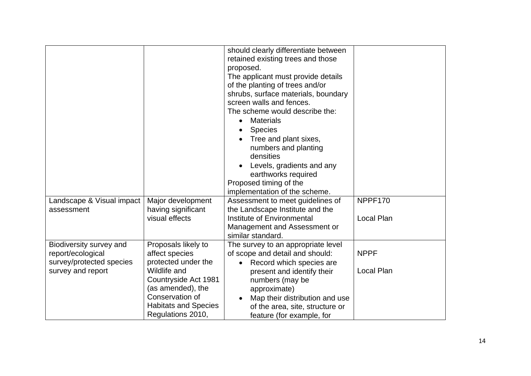|                           |                             | should clearly differentiate between  |             |
|---------------------------|-----------------------------|---------------------------------------|-------------|
|                           |                             |                                       |             |
|                           |                             | retained existing trees and those     |             |
|                           |                             | proposed.                             |             |
|                           |                             | The applicant must provide details    |             |
|                           |                             | of the planting of trees and/or       |             |
|                           |                             | shrubs, surface materials, boundary   |             |
|                           |                             | screen walls and fences.              |             |
|                           |                             | The scheme would describe the:        |             |
|                           |                             | <b>Materials</b>                      |             |
|                           |                             | <b>Species</b>                        |             |
|                           |                             | Tree and plant sixes,                 |             |
|                           |                             | numbers and planting                  |             |
|                           |                             | densities                             |             |
|                           |                             | Levels, gradients and any             |             |
|                           |                             | earthworks required                   |             |
|                           |                             | Proposed timing of the                |             |
|                           |                             | implementation of the scheme.         |             |
| Landscape & Visual impact | Major development           | Assessment to meet guidelines of      | NPPF170     |
| assessment                | having significant          | the Landscape Institute and the       |             |
|                           | visual effects              | Institute of Environmental            | Local Plan  |
|                           |                             | Management and Assessment or          |             |
|                           |                             | similar standard.                     |             |
| Biodiversity survey and   | Proposals likely to         | The survey to an appropriate level    |             |
| report/ecological         | affect species              | of scope and detail and should:       | <b>NPPF</b> |
| survey/protected species  | protected under the         | Record which species are<br>$\bullet$ |             |
| survey and report         | <b>Wildlife and</b>         | present and identify their            | Local Plan  |
|                           | Countryside Act 1981        | numbers (may be                       |             |
|                           | (as amended), the           |                                       |             |
|                           | Conservation of             | approximate)                          |             |
|                           |                             | Map their distribution and use        |             |
|                           | <b>Habitats and Species</b> | of the area, site, structure or       |             |
|                           | Regulations 2010,           | feature (for example, for             |             |